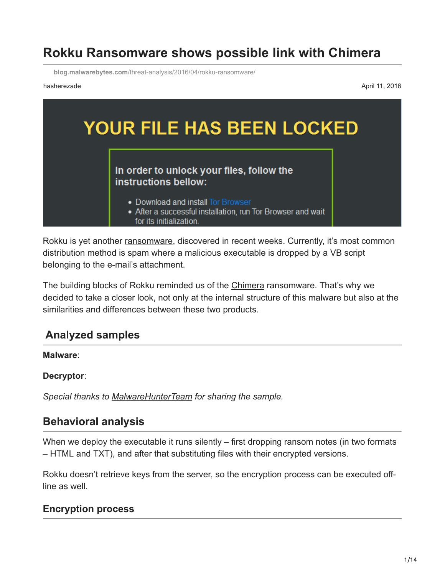# **Rokku Ransomware shows possible link with Chimera**

**blog.malwarebytes.com**[/threat-analysis/2016/04/rokku-ransomware/](https://blog.malwarebytes.com/threat-analysis/2016/04/rokku-ransomware/)

hasherezade April 11, 2016



Rokku is yet another [ransomware,](https://www.malwarebytes.com/ransomware) discovered in recent weeks. Currently, it's most common distribution method is spam where a malicious executable is dropped by a VB script belonging to the e-mail's attachment.

The building blocks of Rokku reminded us of the [Chimera](https://blog.malwarebytes.org/threat-analysis/2015/12/inside-chimera-ransomware-the-first-doxingware-in-wild/) ransomware. That's why we decided to take a closer look, not only at the internal structure of this malware but also at the similarities and differences between these two products.

## **Analyzed samples**

#### **Malware**:

#### **Decryptor**:

*Special thanks to [MalwareHunterTeam](https://twitter.com/malwrhunterteam) for sharing the sample.*

## **Behavioral analysis**

When we deploy the executable it runs silently – first dropping ransom notes (in two formats – HTML and TXT), and after that substituting files with their encrypted versions.

Rokku doesn't retrieve keys from the server, so the encryption process can be executed offline as well.

#### **Encryption process**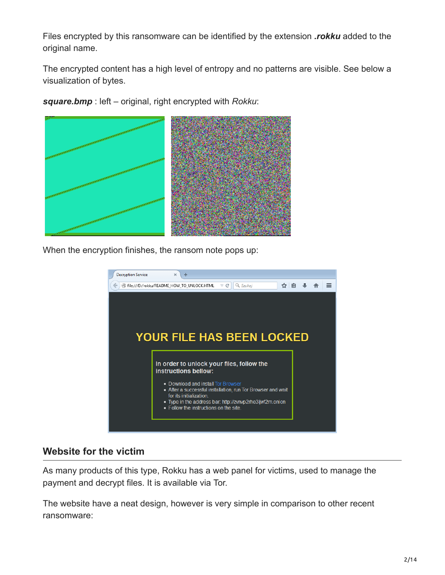Files encrypted by this ransomware can be identified by the extension *.rokku* added to the original name.

The encrypted content has a high level of entropy and no patterns are visible. See below a visualization of bytes.

*square.bmp* : left – original, right encrypted with *Rokku*:



When the encryption finishes, the ransom note pops up:



#### **Website for the victim**

As many products of this type, Rokku has a web panel for victims, used to manage the payment and decrypt files. It is available via Tor.

The website have a neat design, however is very simple in comparison to other recent ransomware: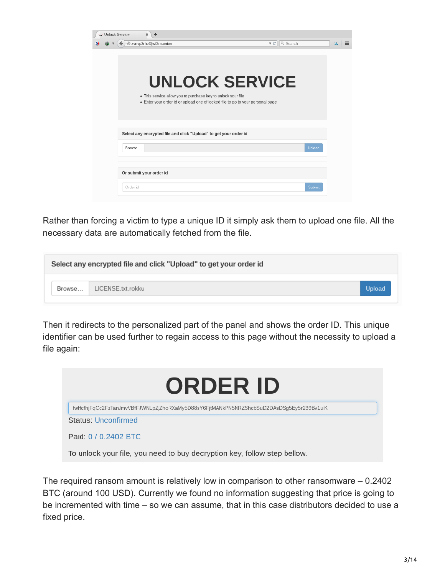| <b>Jnlock Service</b> | ×<br>← zvnvp2rhe3ljwf2m.onion                                                                                                                  | Q Search<br>$\nabla C$ | id. |
|-----------------------|------------------------------------------------------------------------------------------------------------------------------------------------|------------------------|-----|
|                       |                                                                                                                                                |                        |     |
|                       |                                                                                                                                                | <b>UNLOCK SERVICE</b>  |     |
|                       | . This service allow you to purchase key to unlock your file<br>• Enter your order id or upload one of locked file to go to your personal page |                        |     |
|                       |                                                                                                                                                |                        |     |
|                       | Select any encrypted file and click "Upload" to get your order id                                                                              |                        |     |
| Browse                |                                                                                                                                                | Upload                 |     |
|                       |                                                                                                                                                |                        |     |
|                       | Or submit your order id                                                                                                                        |                        |     |
| Order id              |                                                                                                                                                | Submit                 |     |

್ಷ.  $S_{l}$ 

Rather than forcing a victim to type a unique ID it simply ask them to upload one file. All the necessary data are automatically fetched from the file.

| Select any encrypted file and click "Upload" to get your order id |                   |        |  |  |  |
|-------------------------------------------------------------------|-------------------|--------|--|--|--|
| Browse                                                            | LICENSE.txt.rokku | Upload |  |  |  |
|                                                                   |                   |        |  |  |  |

Then it redirects to the personalized part of the panel and shows the order ID. This unique identifier can be used further to regain access to this page without the necessity to upload a file again:



The required ransom amount is relatively low in comparison to other ransomware – 0.2402 BTC (around 100 USD). Currently we found no information suggesting that price is going to be incremented with time – so we can assume, that in this case distributors decided to use a fixed price.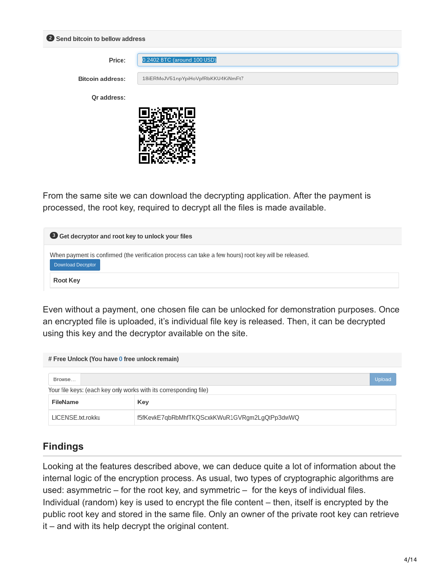|                         | Send bitcoin to bellow address     |  |  |  |  |
|-------------------------|------------------------------------|--|--|--|--|
| Price:                  | 0.2402 BTC (around 100 USD)        |  |  |  |  |
| <b>Bitcoin address:</b> | 18iERMoJV51npYpiHoVpfRbKKU4KiNmFt7 |  |  |  |  |
| Qr address:             |                                    |  |  |  |  |
|                         |                                    |  |  |  |  |
|                         |                                    |  |  |  |  |
|                         |                                    |  |  |  |  |

From the same site we can download the decrypting application. After the payment is processed, the root key, required to decrypt all the files is made available.

| Get decryptor and root key to unlock your files                                                                                   |  |  |
|-----------------------------------------------------------------------------------------------------------------------------------|--|--|
| When payment is confirmed (the verification process can take a few hours) root key will be released.<br><b>Download Decryptor</b> |  |  |
| <b>Root Key</b>                                                                                                                   |  |  |

Even without a payment, one chosen file can be unlocked for demonstration purposes. Once an encrypted file is uploaded, it's individual file key is released. Then, it can be decrypted using this key and the decryptor available on the site.

| # Free Unlock (You have 0 free unlock remain)                     |                                               |  |  |  |
|-------------------------------------------------------------------|-----------------------------------------------|--|--|--|
| Browse                                                            | Upload                                        |  |  |  |
| Your file keys: (each key only works with its corresponding file) |                                               |  |  |  |
| FileName                                                          | Key                                           |  |  |  |
| LICENSE.txt.rokku                                                 | f5fKevkE7qbRbMhfTKQScxkKWuR1GVRgm2LgQtPp3dwWQ |  |  |  |

## **Findings**

Looking at the features described above, we can deduce quite a lot of information about the internal logic of the encryption process. As usual, two types of cryptographic algorithms are used: asymmetric – for the root key, and symmetric – for the keys of individual files. Individual (random) key is used to encrypt the file content – then, itself is encrypted by the public root key and stored in the same file. Only an owner of the private root key can retrieve it – and with its help decrypt the original content.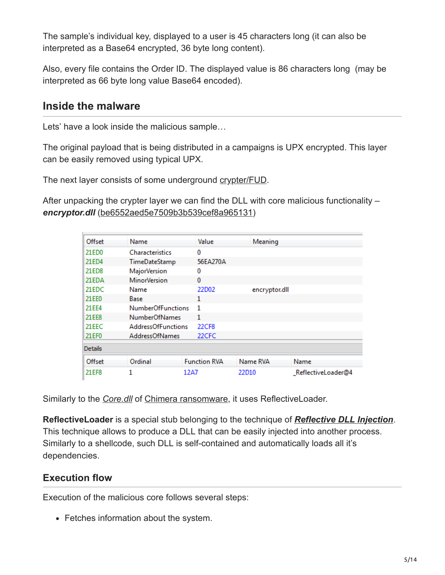The sample's individual key, displayed to a user is 45 characters long (it can also be interpreted as a Base64 encrypted, 36 byte long content).

Also, every file contains the Order ID. The displayed value is 86 characters long (may be interpreted as 66 byte long value Base64 encoded).

## **Inside the malware**

Lets' have a look inside the malicious sample…

The original payload that is being distributed in a campaigns is UPX encrypted. This layer can be easily removed using typical UPX.

The next layer consists of some underground [crypter/FUD](https://blog.malwarebytes.org/threat-analysis/2015/12/malware-crypters-the-deceptive-first-layer/).

After unpacking the crypter layer we can find the DLL with core malicious functionality – *encryptor.dll* [\(be6552aed5e7509b3b539cef8a965131\)](https://www.virustotal.com/en/file/186073cd4539725cbc26f8dac867c97e21d4c88836305a16acf50a70d6121f51/analysis/)

| Offset         | Name                      | Value               | Meaning       |                    |
|----------------|---------------------------|---------------------|---------------|--------------------|
| 21ED0          | <b>Characteristics</b>    | 0                   |               |                    |
| 21ED4          | TimeDateStamp             | 56EA270A            |               |                    |
| 21ED8          | <b>MajorVersion</b>       | 0                   |               |                    |
| 21EDA          | <b>MinorVersion</b>       | $\bf{0}$            |               |                    |
| 21EDC          | Name                      | 22D02               | encryptor.dll |                    |
| 21EE0          | Base                      | 1                   |               |                    |
| 21 EE4         | <b>NumberOfFunctions</b>  | 1                   |               |                    |
| 21EE8          | <b>NumberOfNames</b>      | 1                   |               |                    |
| 21EEC          | <b>AddressOfFunctions</b> | 22CF8               |               |                    |
| 21EF0          | <b>AddressOfNames</b>     | 22CFC               |               |                    |
| <b>Details</b> |                           |                     |               |                    |
| Offset         | Ordinal                   | <b>Function RVA</b> | Name RVA      | Name               |
| 21 EF8         | 1                         | 12A7                | 22D10         | ReflectiveLoader@4 |

Similarly to the *[Core.dll](https://blog.malwarebytes.org/wp-content/uploads/2015/12/core_dll.png)* of [Chimera ransomware,](https://blog.malwarebytes.org/intelligence/2015/12/inside-chimera-ransomware-the-first-doxingware-in-wild/) it uses ReflectiveLoader.

**ReflectiveLoader** is a special stub belonging to the technique of *[Reflective DLL Injection](http://www.harmonysecurity.com/files/HS-P005_ReflectiveDllInjection.pdf)*. This technique allows to produce a DLL that can be easily injected into another process. Similarly to a shellcode, such DLL is self-contained and automatically loads all it's dependencies.

## **Execution flow**

Execution of the malicious core follows several steps:

• Fetches information about the system.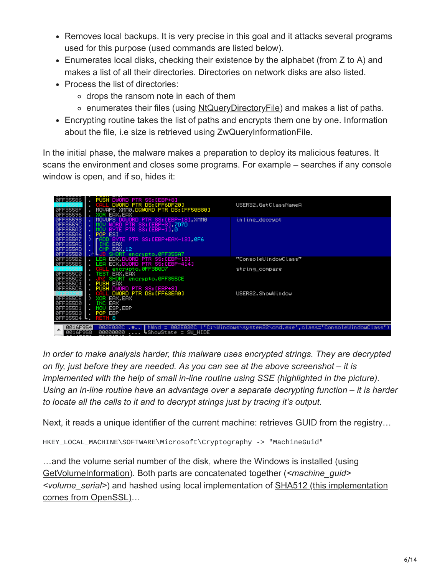- Removes local backups. It is very precise in this goal and it attacks several programs used for this purpose (used commands are listed below).
- Enumerates local disks, checking their existence by the alphabet (from Z to A) and makes a list of all their directories. Directories on network disks are also listed.
- Process the list of directories:
	- o drops the ransom note in each of them
	- enumerates their files (using [NtQueryDirectoryFile](https://msdn.microsoft.com/en-us/library/windows/hardware/ff567047%28v=vs.85%29.aspx)) and makes a list of paths.
- Encrypting routine takes the list of paths and encrypts them one by one. Information about the file, i.e size is retrieved using [ZwQueryInformationFile.](https://msdn.microsoft.com/en-us/library/windows/hardware/ff567052%28v=vs.85%29.aspx)

In the initial phase, the malware makes a preparation to deploy its malicious features. It scans the environment and closes some programs. For example – searches if any console window is open, and if so, hides it:

| ØFF35586<br>0FF3558E<br>ØFF35596                         | PUSH DWORD PTR SS:[EBP+8]<br>DWORD PTR DS: [FF6DF20]<br>MOVAPS XMM0.DQWORD PTR DS:[FF50B80]<br>XOR EAX, EAX  | USER32.GetClassNameA                                                       |
|----------------------------------------------------------|--------------------------------------------------------------------------------------------------------------|----------------------------------------------------------------------------|
| <b>ØFF35598</b><br>0FF35590<br>0FF355A2<br>0FF355A6      | MOUUPS DOWORD PTR SS: [EBP-13], XMM0<br>WORD PTR SS: [EBP-3], 7D7D<br>BYTE PTR SS: [EBP-1], 0<br>POP ESI     | inline_decrypt                                                             |
| 0FF355A7<br>0FF355AC<br>0FF355AD<br>0FF355B0             | <b>ADD BYTE PTR SS:[EBP+EAX-13],0F6</b><br>INC EAX<br>EAX, 12<br><b>CMP</b><br>SHORT encrypto.0FF355A7       |                                                                            |
| 0FF355B2<br>0FF355B5<br>0FF355C0                         | EDX.DWORD PTR SS:[EBP-13]<br>. LEA<br>ECX DWORD PTR SS:[EBP-414]<br>LEA<br>encrypto.0FF3B0D7<br>TEST EAX.EAX | "ConsoleWindowClass"<br>string_compare                                     |
| 0FF355C2<br><b>ØFF35504</b><br>0FF355C5                  | encrypto.0FF355CE<br>SHORT<br><b>PUSH EAX</b><br>PUSH DWORD PTR SS: [EBP+8]<br>DWORD PTR DS: [FF63EA0]       | USER32.ShowWindow                                                          |
| 0FF355CE<br>0FF355D0<br>0FF355D1<br>0FF355D3<br>0FF355D4 | EAX.EAX<br>XOR<br>EAX<br>ESP.EBP<br>POP EBP<br>RETIN 8<br>and the                                            |                                                                            |
| 0016F954<br>0016F958                                     | 002E030C L<br>$-0.1$<br>┗ShowState = SW_HIDE<br>00000000                                                     | hWnd = 002E030C ('C:\Windows\system32\cmd.exe',class='ConsoleWindowClass') |

*In order to make analysis harder, this malware uses encrypted strings. They are decrypted on fly, just before they are needed. As you can see at the above screenshot – it is implemented with the help of small in-line routine using [SSE](https://en.wikipedia.org/wiki/Streaming_SIMD_Extensions) (highlighted in the picture). Using an in-line routine have an advantage over a separate decrypting function – it is harder to locate all the calls to it and to decrypt strings just by tracing it's output.*

Next, it reads a unique identifier of the current machine: retrieves GUID from the registry…

```
HKEY_LOCAL_MACHINE\SOFTWARE\Microsoft\Cryptography -> "MachineGuid"
```
…and the volume serial number of the disk, where the Windows is installed (using [GetVolumeInformation](https://msdn.microsoft.com/pl-pl/library/windows/desktop/aa364993%28v=vs.85%29.aspx)). Both parts are concatenated together (*<machine\_guid> <volume\_serial>*[\) and hashed using local implementation of SHA512 \(this implementation](http://boinc.berkeley.edu/android-boinc/libssl/crypto/sha/sha512.c) comes from OpenSSL)…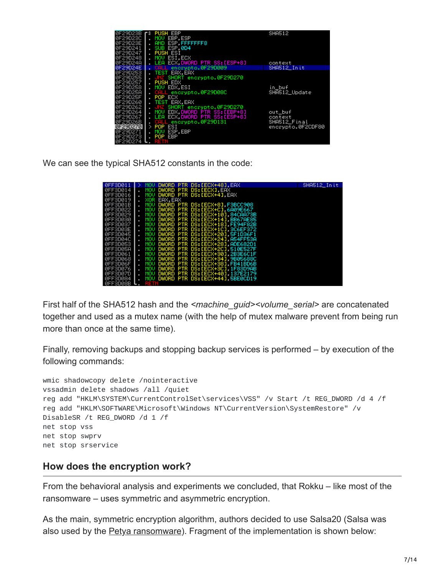| 0F29D23B |   | <b>r's PUSH EBP</b>                   | <b>SHA512</b>     |
|----------|---|---------------------------------------|-------------------|
|          |   |                                       |                   |
| 0F29D23C |   | . MOU EBP.ESP                         |                   |
| 0F29D23E |   | AND ESP. FFFFFFFF8                    |                   |
| 0F29D241 |   | SUB ESF 0D4                           |                   |
| 0F29D247 |   | . PUSH ESI                            |                   |
| 0F29D248 |   | MOV ESI.ECX                           |                   |
|          |   |                                       |                   |
| 0F29D24A |   | LEA ECX.DWORD PTR SS:[ESP+8] context  |                   |
| 0F29D24E |   | . CALL encrypto.0F29D009              | SHA512 In it      |
| 0F29D253 |   | <b>TEST EAX.EAX</b>                   |                   |
| 0F29D255 |   | JNZ SHORT encrypto.0F29D270           |                   |
| 0F29D257 |   | . PUSH EDX                            |                   |
| ØF29D258 |   |                                       |                   |
|          |   | MOV EDX,ESI<br>CALL encrypto.0F29D08C | in_buf            |
| 0F29D25A |   |                                       | SHA512_Update     |
| 0F29D25F |   | . POP ECX                             |                   |
| 0F29D260 |   | <b>TEST EAX.EAX</b>                   |                   |
| 0F29D262 |   | JNZ SHORT encrypto.0F29D270           |                   |
| 0F29D264 |   | MOV EDX.DWORD PTR SS:[EBP+8] out_buf  |                   |
| 0F29D267 |   | LEA ECX.DWORD PTR SS: [ESP+8] context |                   |
| 0F29D26B |   | CALL encrypto.0F29D131                | SHA512_Final      |
| 0F29D270 |   | $>$ POP ESI                           | encrypto.0F2CDF80 |
| 0F29D271 |   | MOV ESP.EBP                           |                   |
| 0F29D273 | ٠ | POP EBP                               |                   |
| ØF29D274 |   |                                       |                   |

We can see the typical SHA512 constants in the code:

| 0FF3D011        |            |         | DWORD PTR DS: [ECX+48].EAX         | SHA512 Init |
|-----------------|------------|---------|------------------------------------|-------------|
| ØFF3DØ14        |            |         | MOV DWORD PTR DS: [ECX] EAX        |             |
| 0FF3D016        | MOU.       |         | DWORD PTR DS: [ECX+4] EAX          |             |
| 0FF3D019        | XOR        | EAX.EAX |                                    |             |
| ØFF3DØ1B        | MOU.       |         | DWORD PTR DS:[ECX+8] F3BCC908      |             |
| 0FF3D022        |            |         | MOV DWORD PTR DS: [ECX+C] 6A09E667 |             |
| ØFF3D029        | MOU.       |         | DWORD PTR DS: [ECX+10] 84CAA73B    |             |
| 0FF3D030        | MOU .      |         | DWORD PTR DS: [ECX+14] BB67AE85    |             |
| <b>ØFF3D037</b> | <b>MOU</b> |         | DWORD PTR DS: [ECX+18] FE94F82B    |             |
| ØFF3DØ3E        | MOU .      |         | DWORD PTR DS: [ECX+1C], 3C6EF372   |             |
| 0FF3D045        | <b>MOV</b> |         | DWORD PTR DS: [ECX+20] 5F1D36F1    |             |
| ØFF3DØ4C        | MOU.       |         | DWORD PTR DS: [ECX+24] A54FF53A    |             |
| <b>ØFF3DØ53</b> | MOU        |         | DWORD PTR DS: [ECX+28] ADE682D1    |             |
| ØFF3DØ5A        | MOU        |         | DWORD PTR DS: [ECX+2C] 510E527F    |             |
| 0FF3D061        | MOU        |         | DWORD PTR DS: [ECX+30] 2B3E6C1F    |             |
| 0FF3D068        | MOU        |         | DWORD PTR DS: [ECX+34], 9B05688C   |             |
| <b>ØFF3DØ6F</b> | MOU        |         | DWORD PTR DS: [ECX+38]. FB41BD6B   |             |
| 0FF3D076        | MOU        |         | DWORD PTR DS: [ECX+3C] 1F83D9AB    |             |
| <b>ØFF3DØ7D</b> | MOU        |         | DWORD PTR DS: [ECX+40] 137E2179    |             |
|                 |            |         | DWORD PTR DS: [ECX+44] 5BE0CD19    |             |
| <b>ØFF3D084</b> | MOU<br>٠   |         |                                    |             |
| ØFF3DØ8B        |            |         |                                    |             |

First half of the SHA512 hash and the *<machine\_guid><volume\_serial>* are concatenated together and used as a mutex name (with the help of mutex malware prevent from being run more than once at the same time).

Finally, removing backups and stopping backup services is performed – by execution of the following commands:

```
wmic shadowcopy delete /nointeractive
vssadmin delete shadows /all /quiet
reg add "HKLM\SYSTEM\CurrentControlSet\services\VSS" /v Start /t REG_DWORD /d 4 /f
reg add "HKLM\SOFTWARE\Microsoft\Windows NT\CurrentVersion\SystemRestore" /v
DisableSR /t REG_DWORD /d 1 /f
net stop vss
net stop swprv
net stop srservice
```
#### **How does the encryption work?**

From the behavioral analysis and experiments we concluded, that Rokku – like most of the ransomware – uses symmetric and asymmetric encryption.

As the main, symmetric encryption algorithm, authors decided to use Salsa20 (Salsa was also used by the **Petya ransomware**). Fragment of the implementation is shown below: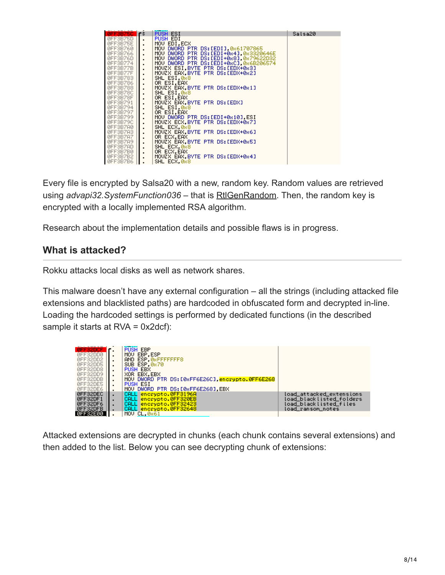| <b>ØFF3B75C</b> | 工作             | <b>PUSH ESI</b>                         | Salsa20 |
|-----------------|----------------|-----------------------------------------|---------|
| ØFF3B75D        | $\blacksquare$ | PUSH EDI                                |         |
| ØFF3B75E        |                | MOV EDI.ECX                             |         |
| 0FF3B760        | $\blacksquare$ | MOV DWORD PTR DS:[EDI] 0x61707865       |         |
| 0FF3B766        |                | MOV DWORD PTR DS: [EDI+0x4], 0x3320646E |         |
| ØFF3B76D        |                | MOU DWORD PTR DS: [EDI+0x8] 0x79622D32  |         |
|                 |                |                                         |         |
| ØFF3B774        |                | MOV DWORD PTR DS: [EDI+0xC] 0x6B206574  |         |
| ØFF3B77B        |                | MOVZX ESI BYTE PTR DS: [EDX+0x3]        |         |
| ØFF3B77F        |                | MOVZX EAX BYTE PTR DS: [EDX+0x2]        |         |
| 0FF3B783        | $\blacksquare$ | SHL ESI 088                             |         |
| ØFF3B786        | ٠              | OR ESI, EAX                             |         |
| 0FF3B788        | $\blacksquare$ | MOUZX EAX BYTE PTR DS: [EDX+0x1]        |         |
| ØFF3B78C        |                | SHL ESI, 0x8                            |         |
| ØFF3B78F        |                | OR ESI.EAX                              |         |
| ØFF3B791        | $\blacksquare$ | MOVZX EAX, BYTE PTR DS: [EDX]           |         |
| ØFF3B794        |                | SHL ESI, 0x8                            |         |
| 0FF3B797        |                | OR ESI.EAX                              |         |
| 0FF3B799        |                | MOV DWORD PTR DS:[EDI+0x10] ESI         |         |
| ØFF3B79C        |                | MOVZX ECX.BYTE PTR DS: [EDX+0x7]        |         |
| ØFF3B7AØ        | ٠              | SHL ECX, 0x8                            |         |
|                 | $\blacksquare$ | MOVZX EAX.BYTE PTR DS:[EDX+0x6]         |         |
| ØFF3B7A3        |                |                                         |         |
| ØFF3B7A7        |                | OR ECX.EAX                              |         |
| ØFF3B7A9        | $\blacksquare$ | MOVZX EAX.BYTE PTR DS:[EDX+0x5]         |         |
| ØFF3B7AD        |                | SHL ECX.0x8                             |         |
| ØFF3B7BØ        |                | OR ECX, EAX                             |         |
| ØFF3B7B2        | $\blacksquare$ | MOVZX EAX.BYTE PTR DS:[EDX+0x4]         |         |
| <b>REESBZB6</b> |                | SHL FCX 0x8                             |         |

Every file is encrypted by Salsa20 with a new, random key. Random values are retrieved using *advapi32.SystemFunction036* – that is [RtlGenRandom](https://msdn.microsoft.com/en-us/library/windows/desktop/aa387694%28v=vs.85%29.aspx). Then, the random key is encrypted with a locally implemented RSA algorithm.

Research about the implementation details and possible flaws is in progress.

## **What is attacked?**

Rokku attacks local disks as well as network shares.

This malware doesn't have any external configuration – all the strings (including attacked file extensions and blacklisted paths) are hardcoded in obfuscated form and decrypted in-line. Loading the hardcoded settings is performed by dedicated functions (in the described sample it starts at RVA = 0x2dcf):

| 0FF32DCF           | ٦г.            | <b>PUSH EBP</b>                                  |                          |
|--------------------|----------------|--------------------------------------------------|--------------------------|
| ØFF32DDØ           |                | MOU EBP.ESP                                      |                          |
| ØFF32DD2           |                | AND ESP. ØxFFFFFFFF8                             |                          |
|                    |                |                                                  |                          |
| ØFF32DD5           |                | SUB ESP. 0x70                                    |                          |
| ØFF32DD8           | $\blacksquare$ | <b>PUSH EBX</b>                                  |                          |
| ØFF32DD9           | $\blacksquare$ | XOR EBX.EBX                                      |                          |
| ØFF32DDB           |                | MOV DWORD PTR DS: [0xFF6E26C], encrypto.0FF6E268 |                          |
| ØFF32DE5           | $\blacksquare$ | PUSH ESI                                         |                          |
| ØFF32DE6           | . .            | MOV DWORD PTR DS:[0xFF6E268] EBX                 |                          |
| ØFF32DEC           |                | encrypto.0FF3196A<br>CALL.                       | load_attacked_extensions |
| ØFF32DF1           |                | encrypto.0FF320EB<br>CALL.                       | load blacklisted folders |
| ØFF32DF6           |                | <b>CALL</b><br>encrypto.0FF32423                 | load_blacklisted_files   |
| ØFF32DFB           |                | CALL encrypto.0FF32648                           | load ransom notes        |
|                    | - 1            |                                                  |                          |
| <u>АЕЕЗ2ЕАА II</u> |                | MOU CL. 0x61                                     |                          |

Attacked extensions are decrypted in chunks (each chunk contains several extensions) and then added to the list. Below you can see decrypting chunk of extensions: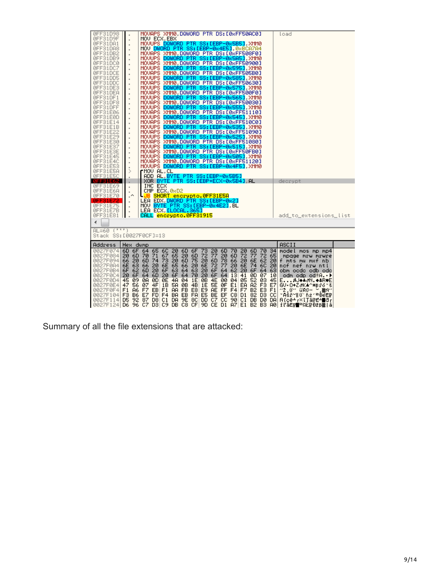| 0FF31D98                              |                                  | MOVAPS XMM0,DQWORD PTR DS:[0xFF50AC0]<br>load                                                                                                                                  |  |
|---------------------------------------|----------------------------------|--------------------------------------------------------------------------------------------------------------------------------------------------------------------------------|--|
| 0FF31D9F                              | $\blacksquare$                   | MOU ECX.EBX                                                                                                                                                                    |  |
| 0FF31DA1                              |                                  | MOVUPS DQWORD PTR SS:[EBP-0x5B5] XMM0                                                                                                                                          |  |
| 0FF31DA8<br>0FF31DB2                  |                                  | MOV DWORD PTR SS: [EBP-0x4E5], 0xBCA7A4<br>MOVAPS XMM0 DQWORD PTR DS:[0xFF508F0]                                                                                               |  |
| 0FF31DB9                              | $\blacksquare$                   | MOVUPS DQWORD PTR SS: [EBP-0x5A5] XMM0                                                                                                                                         |  |
| 0FF31DC0                              |                                  | MOVAPS XMM0 DQWORD PTR DS:[0xFF50900]                                                                                                                                          |  |
| 0FF31DC7                              | $\blacksquare$                   | MOUUPS DQWORD PTR SS: [EBP-0x595], XMM0                                                                                                                                        |  |
| 0FF31DCE                              |                                  | MOVAPS<br>XMM0.DQWORD PTR DS: [0xFF505B0]                                                                                                                                      |  |
| 0FF31DD5                              |                                  | MOUUPS DQWORD PTR SS: [EBP-0x585], XMM0                                                                                                                                        |  |
| 0FF31DDC                              | $\blacksquare$                   | MOVAPS XMM0, DQWORD PTR DS: [0xFF50630]                                                                                                                                        |  |
| 0FF31DE3                              |                                  | MOVUPS DQWORD PTR SS:[EBP-0x575] XMM0                                                                                                                                          |  |
| 0FF31DEA                              |                                  | MOVAPS XMM0, DQWORD PTR DS: [0xFF500F0]<br>MOUUPS DQWORD PTR SS: LEBP-0x565], XMM0                                                                                             |  |
| 0FF31DF1<br>0FF31DF8                  | $\blacksquare$                   | MOVAPS XMM0.DQWORD PTR DS:[0xFF50030]                                                                                                                                          |  |
| 0FF31DFF                              | $\blacksquare$                   | MOVUPS DQWORD PTR SS:[EBP-0x555].XMM0                                                                                                                                          |  |
| 0FF31E06                              | $\blacksquare$                   | MOVAPS XMM0.DQWORD PTR DS:[0xFF51110]                                                                                                                                          |  |
| 0FF31E0D                              | $\blacksquare$                   | MOVUPS DQWORD PTR SS: LEBP-0x5451 XMM0                                                                                                                                         |  |
| 0FF31E14                              |                                  | MOVAPS XMM0 DQWORD PTR DS:[0xFF510C0]                                                                                                                                          |  |
| ØFF31E1B                              | $\blacksquare$                   | MOUUPS DQWORD PTR SS: [EBP-0x535], XMM0                                                                                                                                        |  |
| 0FF31E22                              |                                  | MOVAPS XMM0,DQWORD PTR DS:[0xFF51090]                                                                                                                                          |  |
| 0FF31E29                              |                                  | MOVUPS DQWORD PTR SS:[EBP-0x525].XMM0                                                                                                                                          |  |
| 0FF31E30                              | $\blacksquare$                   | MOVAPS XMM0.DQWORD PTR DS: [0xFF51080]                                                                                                                                         |  |
| 0FF31E37<br>ØFF31E3E                  |                                  | MOVUPS DQWORD PTR SS: [EBP-0x515] XMM0<br>MOVAPS XMM0 DQWORD PTR DS:[0xFF50FB0]                                                                                                |  |
| 0FF31E45                              | $\blacksquare$                   | MOVUPS DQWORD PTR SS: [EBP-0x505] XMM0                                                                                                                                         |  |
| 0FF31E4C                              | $\blacksquare$<br>$\blacksquare$ | MOVAPS XMM0.DQWORD PTR DS:[0xFF51120]                                                                                                                                          |  |
| 0FF31E53                              |                                  | MOVUPS DQWORD PTR SS:[EBP-0x4F5],XMM0                                                                                                                                          |  |
| ØFF31E5A                              | ⋟                                | rMOV AL,CL                                                                                                                                                                     |  |
| ØFF31E5C                              |                                  | ADD AL BYTE PTR SS: [EBP-0x5B5]                                                                                                                                                |  |
| <b>BFF31E62</b>                       |                                  | XOR BYTE PTR SS:[EBP+ECX-0x5B4] AL<br>decrypt                                                                                                                                  |  |
| ØFF31E69                              |                                  | INC ECX                                                                                                                                                                        |  |
| ØFF31E6A<br>0FF31E70                  | $\,$<br>$\overline{\phantom{a}}$ | CMP ECX, 0xD2                                                                                                                                                                  |  |
| <b>REE31E72</b>                       |                                  | <u> JB SHORT encrypto.0FF31E5A</u><br>LEA EDX.DWORD PTR SS: [EBP-0x2]                                                                                                          |  |
| 0FF31E75                              | $\blacksquare$                   | MOV BYTE PTR SS: [EBP-0x4E2], BL                                                                                                                                               |  |
| 0FF31E7B                              | $\blacksquare$                   | LEA ECX <mark>[LOCAL.365]</mark>                                                                                                                                               |  |
| 0FF31E81                              | $\blacksquare$                   | CALL encrypto.0FF31915<br>add_to_extensions_list                                                                                                                               |  |
| ∢                                     |                                  |                                                                                                                                                                                |  |
|                                       |                                  |                                                                                                                                                                                |  |
| AL=60 (''')<br>Stack SS:[0027F0CF]=13 |                                  |                                                                                                                                                                                |  |
|                                       |                                  |                                                                                                                                                                                |  |
| Address                               | Hex dump                         | ASCII                                                                                                                                                                          |  |
| 0027F0741<br>0027F0841                | 20 6D 70                         | 6D 6F 64 65 6C 20 6D 6F<br>73<br>20<br>6D 70 20<br>6D 70 34<br>model mos mp mp4<br>67<br>72 77<br>20<br>6D 72 77<br>71<br>65<br>$20^{\circ}$<br>6D<br>72 65<br>mpage mrw mrwre |  |
| 0027F094 66                           |                                  | 20 6D 75 20 6D<br>78 66 20 6E 62<br>20 6D 74 73<br>20<br>f mts mu mxf nb.                                                                                                      |  |
|                                       |                                  | 0027F0R4 6E 63 66 20 6E 65 66 20 6E 72 77 20 6E 74 6C 20<br>nof nef nrw ntl                                                                                                    |  |
| 0027F0B41                             | 62<br>6F                         | 64 63<br>64 62 20<br>20 6F<br>63<br>$20 -$<br>6D<br>64 63<br>6F<br>6F.<br>obm ocdc odb odc                                                                                     |  |
| 0027F0C4 20                           | 6F                               | 64 6D 20<br>64 70<br>20<br>64 13 41<br>6F.<br>6F<br>ØD.<br>07 10<br>odm odp od‼A.∙▶                                                                                            |  |
|                                       |                                  | 0027F0D4 45 09 0A 0D 0E 4A 04 1E<br>0B 4E 00 04 05<br>52 03<br>45<br>E∦J♦▲♂N.♦≇R♥E                                                                                             |  |
| 0027F0E4   47                         | 56                               | $E1$ EA<br>4F<br>1B 5A<br>0B 4B<br>1E<br>5E<br>ØF<br>A2 F3 E7<br>07<br>GV∙O←Z∂K▲^*Bŕo°š                                                                                        |  |
| 0027F0F4 F1<br>0027F104 F3            |                                  | A6 F7<br>B2 E3 F1<br>‴2,0″ űRU≪ ™,盥N″                                                                                                                                          |  |
| 0027F114 D5 92 87                     |                                  | <b>B6 E7</b><br>82 D3 CC<br>*AšřY∥O'ňż′≞ĐéË F<br>DD C7<br>$90 C1$ DB DØ DA<br>D8 C1<br>9E 8C<br>cc<br>DA.<br>RICE+r×IJaFE+dr                                                   |  |
| 0027F124 D6 96 C7                     |                                  | $DS C9$ DB $CS CF $<br>9D CE<br>D1 A7 E1<br>B2 B3 A0<br>il'âËn 『『淡と行:ĐžB滋 å                                                                                                    |  |

Summary of all the file extensions that are attacked: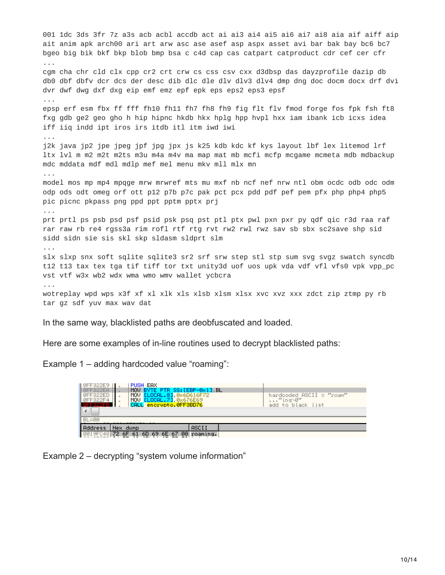001 1dc 3ds 3fr 7z a3s acb acbl accdb act ai ai3 ai4 ai5 ai6 ai7 ai8 aia aif aiff aip ait anim apk arch00 ari art arw asc ase asef asp aspx asset avi bar bak bay bc6 bc7 bgeo big bik bkf bkp blob bmp bsa c c4d cap cas catpart catproduct cdr cef cer cfr ... cgm cha chr cld clx cpp cr2 crt crw cs css csv cxx d3dbsp das dayzprofile dazip db db0 dbf dbfv dcr dcs der desc dib dlc dle dlv dlv3 dlv4 dmp dng doc docm docx drf dvi dvr dwf dwg dxf dxg eip emf emz epf epk eps eps2 eps3 epsf ... epsp erf esm fbx ff fff fh10 fh11 fh7 fh8 fh9 fig flt flv fmod forge fos fpk fsh ft8 fxg gdb ge2 geo gho h hip hipnc hkdb hkx hplg hpp hvpl hxx iam ibank icb icxs idea iff iiq indd ipt iros irs itdb itl itm iwd iwi ... j2k java jp2 jpe jpeg jpf jpg jpx js k25 kdb kdc kf kys layout lbf lex litemod lrf ltx lvl m m2 m2t m2ts m3u m4a m4v ma map mat mb mcfi mcfp mcgame mcmeta mdb mdbackup mdc mddata mdf mdl mdlp mef mel menu mkv mll mlx mn ... model mos mp mp4 mpqge mrw mrwref mts mu mxf nb ncf nef nrw ntl obm ocdc odb odc odm odp ods odt omeg orf ott p12 p7b p7c pak pct pcx pdd pdf pef pem pfx php php4 php5 pic picnc pkpass png ppd ppt pptm pptx prj ... prt prtl ps psb psd psf psid psk psq pst ptl ptx pwl pxn pxr py qdf qic r3d raa raf rar raw rb re4 rgss3a rim rofl rtf rtg rvt rw2 rwl rwz sav sb sbx sc2save shp sid sidd sidn sie sis skl skp sldasm sldprt slm ... slx slxp snx soft sqlite sqlite3 sr2 srf srw step stl stp sum svq svqz swatch syncdb t12 t13 tax tex tga tif tiff tor txt unity3d uof uos upk vda vdf vfl vfs0 vpk vpp\_pc vst vtf w3x wb2 wdx wma wmo wmv wallet ycbcra ... wotreplay wpd wps x3f xf xl xlk xls xlsb xlsm xlsx xvc xvz xxx zdct zip ztmp py rb tar gz sdf yuv max wav dat

In the same way, blacklisted paths are deobfuscated and loaded.

Here are some examples of in-line routines used to decrypt blacklisted paths:

Example 1 – adding hardcoded value "roaming":

| PUSH EAX<br>0FF322E9<br>MOU BYTE PTR SS: [EBP-0x1] BL<br>ØFF322EA                                                     |                                                          |  |  |  |
|-----------------------------------------------------------------------------------------------------------------------|----------------------------------------------------------|--|--|--|
| ELOCAL.81 0x6D616F72<br>ØFF322ED<br>MOU<br>MOU ELOCAL. 73 0x676E69<br>ØFF322F4<br>CALL encrypto.0FF3BD76<br>LAFF322FB | hardcoded ASCII = "roam"<br>"ing\0"<br>add to black list |  |  |  |
| ∢                                                                                                                     |                                                          |  |  |  |
| $BL = 00$                                                                                                             |                                                          |  |  |  |
| Address<br>ASCII<br>Hex.<br>dump                                                                                      |                                                          |  |  |  |
| 0019FC48<br><b>PN</b><br>72.<br>67<br>69.<br>6E<br>60<br>roaming.                                                     |                                                          |  |  |  |

Example 2 – decrypting "system volume information"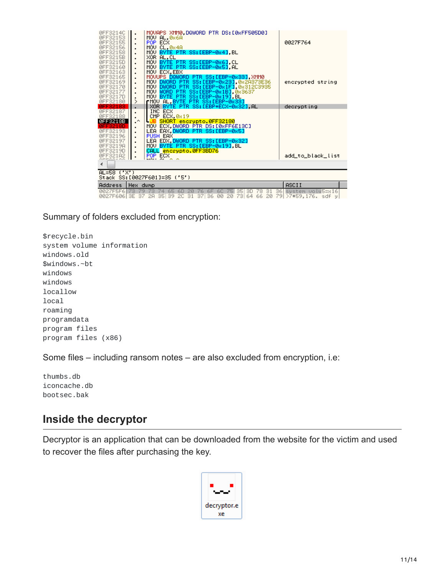| 0FF3214C<br>ØFF32153<br>0FF32155<br>ØFF32156<br>ØFF32158<br>0FF3215B<br>ØFF3215D<br>ØFF32160<br>ØFF32163 | MOVAPS XMM0,DQWORD PTR DS:[0xFF505D0]<br>MOV AL.0x6A<br>$\blacksquare$<br>POP ECX<br>$\blacksquare$<br>MOV CL, 0x4A<br>MOV BYTE PTR SS: [EBP-0x4], BL<br>$\blacksquare$<br>XOR AL, CL<br>$\blacksquare$<br>MOV BYTE PTR SS:[EBP-0x6].CL<br>$\blacksquare$<br>MOV BYTE PTR SS: [EBP-0x5].AL<br>$\blacksquare$<br>MOU ECX, EBX | 0027F764                     |  |  |
|----------------------------------------------------------------------------------------------------------|------------------------------------------------------------------------------------------------------------------------------------------------------------------------------------------------------------------------------------------------------------------------------------------------------------------------------|------------------------------|--|--|
| 0FF32165<br>ØFF32169<br>0FF32170<br>0FF32177<br>ØFF3217D<br>ØFF32180                                     | MOVUPS DQWORD PTR SS:[EBP-0x33] XMM0<br>MOV DWORD PTR SS:[EBP-0x23] 0x2A373E36<br>$\blacksquare$<br>MOV DWORD PTR SS:[EBP-0x1F].0x312C3935<br>$\blacksquare$<br>MOV WORD PTR SS:[EBP-0x1B],0x3637<br>$\blacksquare$<br>MOU BYTE PTR SS: [EBP-0x19], BL<br>⋋<br>rMOV AL, BYTE PTR SS:[EBP-0x33]                               | encrypted string             |  |  |
|                                                                                                          | XOR BYTE PTR SS: LEBP+ECX-0x321 AL<br>٠                                                                                                                                                                                                                                                                                      | decrypting                   |  |  |
| ØFF32187                                                                                                 | INC ECX                                                                                                                                                                                                                                                                                                                      |                              |  |  |
| REE32188<br>0FF3218B                                                                                     | CMP ECX, 0x19<br>$\cdot^{\wedge}$                                                                                                                                                                                                                                                                                            |                              |  |  |
|                                                                                                          | L <mark>JB SHORT encrypto.0FF32180</mark><br>MOV ECX.DWORD PTR DS: [0xFF6E13C]                                                                                                                                                                                                                                               |                              |  |  |
| ØFF32193                                                                                                 | ٠<br>LEA EAX, DWORD PTR SS: [EBP-0x5]                                                                                                                                                                                                                                                                                        |                              |  |  |
| ØFF32196                                                                                                 | PUSH EAX<br>$\blacksquare$                                                                                                                                                                                                                                                                                                   |                              |  |  |
| 0FF32197                                                                                                 | LEA EDX. <mark>DWORD PTR SS:[EBP-0x32]</mark><br>$\blacksquare$                                                                                                                                                                                                                                                              |                              |  |  |
| ØFF3219A                                                                                                 | MOV BYTE PTR SS:[EBP-0x19],BL<br>$\blacksquare$                                                                                                                                                                                                                                                                              |                              |  |  |
| 0FF3219D<br>0FF321A2                                                                                     | CALL encrypto.0FF3BD76<br>$\blacksquare$                                                                                                                                                                                                                                                                                     | add to black list            |  |  |
|                                                                                                          | POP ECX<br>$\blacksquare$                                                                                                                                                                                                                                                                                                    |                              |  |  |
| ∢                                                                                                        |                                                                                                                                                                                                                                                                                                                              |                              |  |  |
| $AL = 58$ ('X')                                                                                          |                                                                                                                                                                                                                                                                                                                              |                              |  |  |
| Stack SS:[0027F601]=35 ('5')                                                                             |                                                                                                                                                                                                                                                                                                                              |                              |  |  |
| Address                                                                                                  | Hex dump                                                                                                                                                                                                                                                                                                                     | ASCII                        |  |  |
| 0027F5F6173                                                                                              | -31<br>35 3D<br>74<br>65<br>20<br>78.<br>-60<br>6C<br>75<br>6F<br>76                                                                                                                                                                                                                                                         | 36 system volu5=x16          |  |  |
| 0027F60613E                                                                                              | 37<br>39.<br>2C 31<br>371<br>36<br>00<br>20<br>-731<br>64 66<br>20<br>35<br>2A                                                                                                                                                                                                                                               | 79 > 7*59.176. sdf<br>$\cup$ |  |  |

Summary of folders excluded from encryption:

\$recycle.bin system volume information windows.old \$windows.~bt windows windows locallow local roaming programdata program files program files (x86)

Some files – including ransom notes – are also excluded from encryption, i.e:

thumbs.db iconcache.db bootsec.bak

## **Inside the decryptor**

Decryptor is an application that can be downloaded from the website for the victim and used to recover the files after purchasing the key.

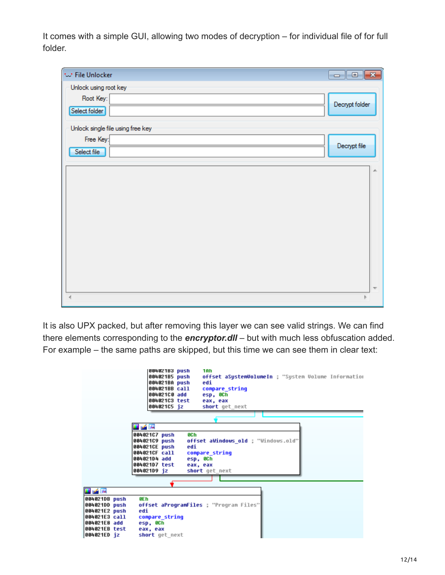It comes with a simple GUI, allowing two modes of decryption – for individual file of for full folder.

| tur File Unlocker                 | $\mathbf{x}$<br>$\overline{\phantom{a}}$ $\overline{\phantom{a}}$ |
|-----------------------------------|-------------------------------------------------------------------|
| Unlock using root key             |                                                                   |
| Root Key:                         | Decrypt folder                                                    |
| Select folder                     |                                                                   |
| Unlock single file using free key |                                                                   |
| Free Key:                         | Decrypt file                                                      |
| Select file                       |                                                                   |
|                                   |                                                                   |
|                                   |                                                                   |
|                                   |                                                                   |
|                                   |                                                                   |
|                                   |                                                                   |
|                                   |                                                                   |
|                                   |                                                                   |
|                                   |                                                                   |
|                                   |                                                                   |
|                                   |                                                                   |
|                                   |                                                                   |

It is also UPX packed, but after removing this layer we can see valid strings. We can find there elements corresponding to the *encryptor.dll* – but with much less obfuscation added. For example – the same paths are skipped, but this time we can see them in clear text:

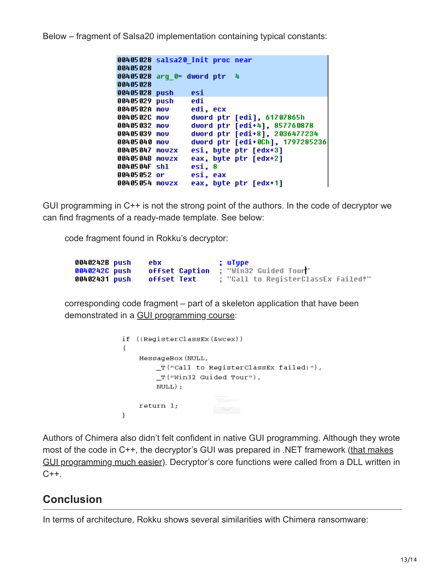Below – fragment of Salsa20 implementation containing typical constants:

```
00405028 salsa20 Init proc near
00405028
00405028 arq 0= dword ptr 4
00405028
00405028 push
                 esi
00405029 push
                 edi
                 edi, ecx
0040502A mov
                 dword ptr [edi], 61707865h
0040502C mov
                 dword ptr [edi+4], 857760878
00405032 mov
                 dword ptr [edi+8], 2036477234
00405039 mov
00405040 mov
                 dword ptr [edi+0Ch], 1797285236
00405047 movzx
                 esi, byte ptr [edx+3]
0040504B movzx
                 eax, byte ptr [edx+2]
0040504F shl
                 esi, 8
00405052 or
                 esi, eax
                 eax, byte ptr [edx+1]
00405054 movzx
```
GUI programming in C++ is not the strong point of the authors. In the code of decryptor we can find fragments of a ready-made template. See below:

code fragment found in Rokku's decryptor:

| 0040242B push | ebx            | ; uTupe                             |
|---------------|----------------|-------------------------------------|
| 0040242C push | offset Caption | : "Win32 Guided Tour"               |
| 00402431 push | offset Text    | ; "Call to ReqisterClassEx failed!" |

corresponding code fragment – part of a skeleton application that have been demonstrated in a [GUI programming course](https://msdn.microsoft.com/library/bb384843.aspx):

```
if (!RegisterClassEx(&wcex))
€
    MessageBox (NULL,
        _T("Call to RegisterClassEx failed!"),
        T("Win32 Guided Tour"),
        NULL);
    return 1;
\mathcal{E}
```
Authors of Chimera also didn't felt confident in native GUI programming. Although they wrote most of the code in C++, the decryptor's GUI was prepared in .NET framework (that makes [GUI programming much easier\). Decryptor's core functions were called from a DLL written i](http://stackoverflow.com/questions/7697569/gui-easy-and-fast-without-net-framework)n  $C++$ .

# **Conclusion**

In terms of architecture, Rokku shows several similarities with Chimera ransomware: